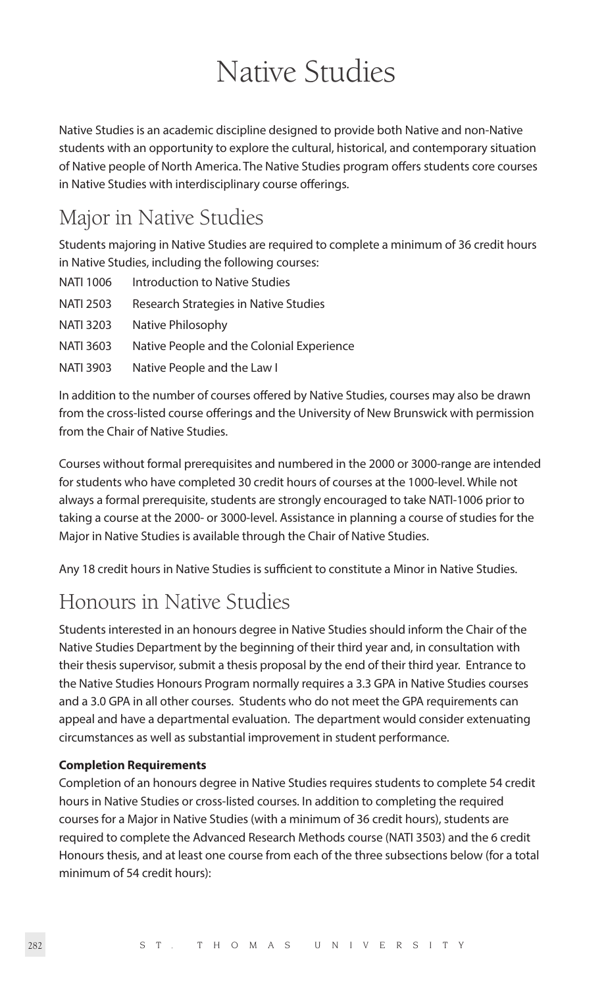# Native Studies

Native Studies is an academic discipline designed to provide both Native and non-Native students with an opportunity to explore the cultural, historical, and contemporary situation of Native people of North America. The Native Studies program offers students core courses in Native Studies with interdisciplinary course offerings.

# Major in Native Studies

Students majoring in Native Studies are required to complete a minimum of 36 credit hours in Native Studies, including the following courses:

| NATI 1006 | Introduction to Native Studies            |
|-----------|-------------------------------------------|
| NATI 2503 | Research Strategies in Native Studies     |
| NATI 3203 | Native Philosophy                         |
| NATI 3603 | Native People and the Colonial Experience |
| NATI 3903 | Native People and the Law I               |

In addition to the number of courses offered by Native Studies, courses may also be drawn from the cross-listed course offerings and the University of New Brunswick with permission from the Chair of Native Studies.

Courses without formal prerequisites and numbered in the 2000 or 3000-range are intended for students who have completed 30 credit hours of courses at the 1000-level. While not always a formal prerequisite, students are strongly encouraged to take NATI-1006 prior to taking a course at the 2000- or 3000-level. Assistance in planning a course of studies for the Major in Native Studies is available through the Chair of Native Studies.

Any 18 credit hours in Native Studies is sufficient to constitute a Minor in Native Studies.

# Honours in Native Studies

Students interested in an honours degree in Native Studies should inform the Chair of the Native Studies Department by the beginning of their third year and, in consultation with their thesis supervisor, submit a thesis proposal by the end of their third year. Entrance to the Native Studies Honours Program normally requires a 3.3 GPA in Native Studies courses and a 3.0 GPA in all other courses. Students who do not meet the GPA requirements can appeal and have a departmental evaluation. The department would consider extenuating circumstances as well as substantial improvement in student performance.

# **Completion Requirements**

Completion of an honours degree in Native Studies requires students to complete 54 credit hours in Native Studies or cross-listed courses. In addition to completing the required courses for a Major in Native Studies (with a minimum of 36 credit hours), students are required to complete the Advanced Research Methods course (NATI 3503) and the 6 credit Honours thesis, and at least one course from each of the three subsections below (for a total minimum of 54 credit hours):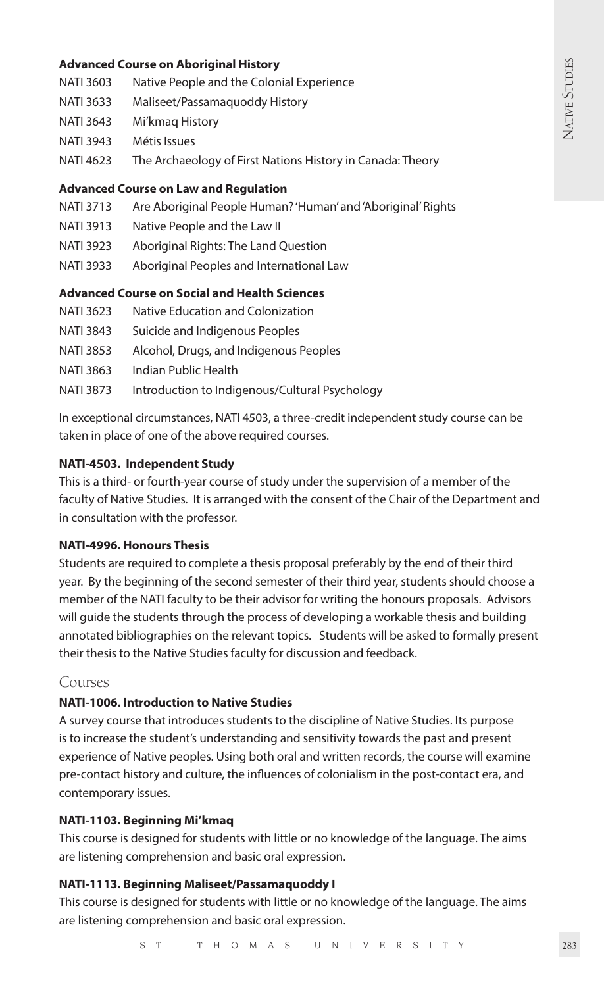### **Advanced Course on Aboriginal History**

- NATI 3603 Native People and the Colonial Experience
- NATI 3633 Maliseet/Passamaquoddy History
- NATI 3643 Mi'kmaq History
- NATI 3943 Métis Issues
- NATI 4623 The Archaeology of First Nations History in Canada: Theory

#### **Advanced Course on Law and Regulation**

- NATI 3713 Are Aboriginal People Human? 'Human' and 'Aboriginal' Rights
- NATI 3913 Native People and the Law II
- NATI 3923 Aboriginal Rights: The Land Question
- NATI 3933 Aboriginal Peoples and International Law

# **Advanced Course on Social and Health Sciences**

- NATI 3623 Native Education and Colonization
- NATI 3843 Suicide and Indigenous Peoples
- NATI 3853 Alcohol, Drugs, and Indigenous Peoples
- NATI 3863 Indian Public Health
- NATI 3873 Introduction to Indigenous/Cultural Psychology

In exceptional circumstances, NATI 4503, a three-credit independent study course can be taken in place of one of the above required courses.

#### **NATI-4503. Independent Study**

This is a third- or fourth-year course of study under the supervision of a member of the faculty of Native Studies. It is arranged with the consent of the Chair of the Department and in consultation with the professor.

#### **NATI-4996. Honours Thesis**

Students are required to complete a thesis proposal preferably by the end of their third year. By the beginning of the second semester of their third year, students should choose a member of the NATI faculty to be their advisor for writing the honours proposals. Advisors will guide the students through the process of developing a workable thesis and building annotated bibliographies on the relevant topics. Students will be asked to formally present their thesis to the Native Studies faculty for discussion and feedback.

# Courses

# **NATI-1006. Introduction to Native Studies**

A survey course that introduces students to the discipline of Native Studies. Its purpose is to increase the student's understanding and sensitivity towards the past and present experience of Native peoples. Using both oral and written records, the course will examine pre-contact history and culture, the influences of colonialism in the post-contact era, and contemporary issues.

# **NATI-1103. Beginning Mi'kmaq**

This course is designed for students with little or no knowledge of the language. The aims are listening comprehension and basic oral expression.

# **NATI-1113. Beginning Maliseet/Passamaquoddy I**

This course is designed for students with little or no knowledge of the language. The aims are listening comprehension and basic oral expression.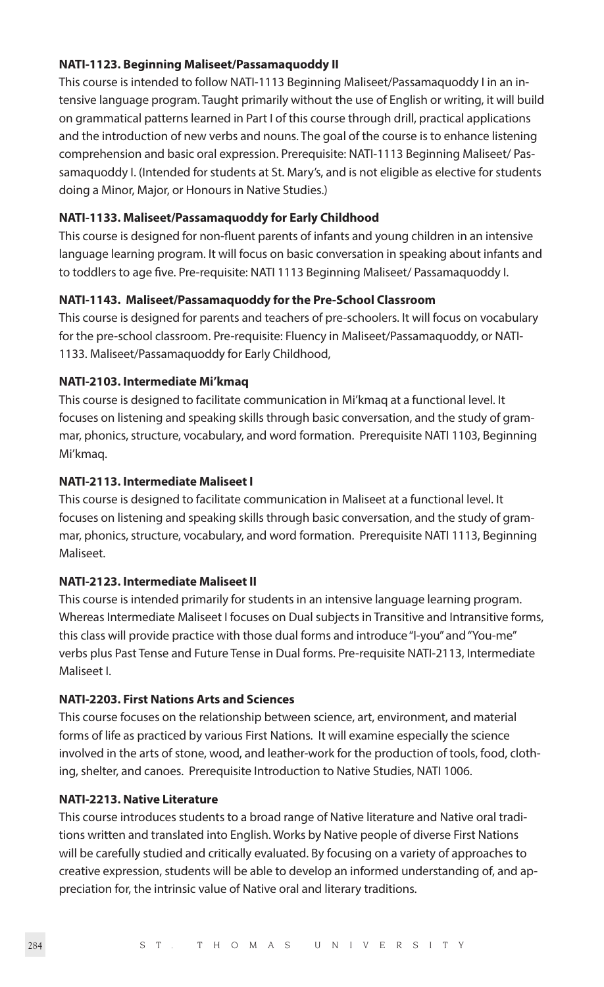#### **NATI-1123. Beginning Maliseet/Passamaquoddy II**

This course is intended to follow NATI-1113 Beginning Maliseet/Passamaquoddy I in an intensive language program. Taught primarily without the use of English or writing, it will build on grammatical patterns learned in Part I of this course through drill, practical applications and the introduction of new verbs and nouns. The goal of the course is to enhance listening comprehension and basic oral expression. Prerequisite: NATI-1113 Beginning Maliseet/ Passamaquoddy I. (Intended for students at St. Mary's, and is not eligible as elective for students doing a Minor, Major, or Honours in Native Studies.)

# **NATI-1133. Maliseet/Passamaquoddy for Early Childhood**

This course is designed for non-fluent parents of infants and young children in an intensive language learning program. It will focus on basic conversation in speaking about infants and to toddlers to age five. Pre-requisite: NATI 1113 Beginning Maliseet/ Passamaquoddy I.

# **NATI-1143. Maliseet/Passamaquoddy for the Pre-School Classroom**

This course is designed for parents and teachers of pre-schoolers. It will focus on vocabulary for the pre-school classroom. Pre-requisite: Fluency in Maliseet/Passamaquoddy, or NATI-1133. Maliseet/Passamaquoddy for Early Childhood,

# **NATI-2103. Intermediate Mi'kmaq**

This course is designed to facilitate communication in Mi'kmaq at a functional level. It focuses on listening and speaking skills through basic conversation, and the study of grammar, phonics, structure, vocabulary, and word formation. Prerequisite NATI 1103, Beginning Mi'kmaq.

# **NATI-2113. Intermediate Maliseet I**

This course is designed to facilitate communication in Maliseet at a functional level. It focuses on listening and speaking skills through basic conversation, and the study of grammar, phonics, structure, vocabulary, and word formation. Prerequisite NATI 1113, Beginning Maliseet.

# **NATI-2123. Intermediate Maliseet II**

This course is intended primarily for students in an intensive language learning program. Whereas Intermediate Maliseet I focuses on Dual subjects in Transitive and Intransitive forms, this class will provide practice with those dual forms and introduce "I-you" and "You-me" verbs plus Past Tense and Future Tense in Dual forms. Pre-requisite NATI-2113, Intermediate Maliseet I.

# **NATI-2203. First Nations Arts and Sciences**

This course focuses on the relationship between science, art, environment, and material forms of life as practiced by various First Nations. It will examine especially the science involved in the arts of stone, wood, and leather-work for the production of tools, food, clothing, shelter, and canoes. Prerequisite Introduction to Native Studies, NATI 1006.

# **NATI-2213. Native Literature**

This course introduces students to a broad range of Native literature and Native oral traditions written and translated into English. Works by Native people of diverse First Nations will be carefully studied and critically evaluated. By focusing on a variety of approaches to creative expression, students will be able to develop an informed understanding of, and appreciation for, the intrinsic value of Native oral and literary traditions.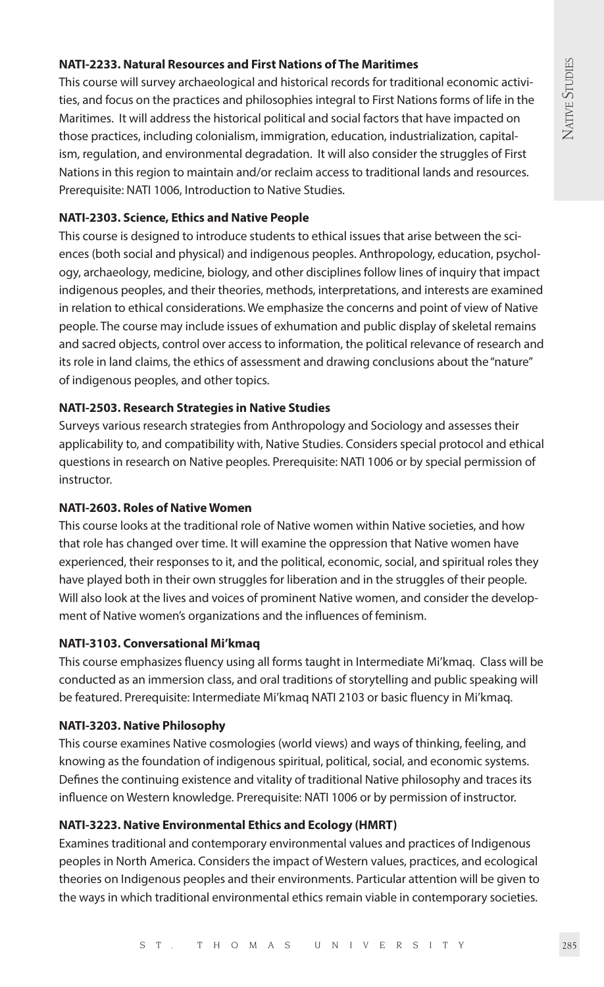# NATIVE STUDIES NATIVE STUDIES

# **NATI-2233. Natural Resources and First Nations of The Maritimes**

This course will survey archaeological and historical records for traditional economic activities, and focus on the practices and philosophies integral to First Nations forms of life in the Maritimes. It will address the historical political and social factors that have impacted on those practices, including colonialism, immigration, education, industrialization, capitalism, regulation, and environmental degradation. It will also consider the struggles of First Nations in this region to maintain and/or reclaim access to traditional lands and resources. Prerequisite: NATI 1006, Introduction to Native Studies.

# **NATI-2303. Science, Ethics and Native People**

This course is designed to introduce students to ethical issues that arise between the sciences (both social and physical) and indigenous peoples. Anthropology, education, psychology, archaeology, medicine, biology, and other disciplines follow lines of inquiry that impact indigenous peoples, and their theories, methods, interpretations, and interests are examined in relation to ethical considerations. We emphasize the concerns and point of view of Native people. The course may include issues of exhumation and public display of skeletal remains and sacred objects, control over access to information, the political relevance of research and its role in land claims, the ethics of assessment and drawing conclusions about the "nature" of indigenous peoples, and other topics.

# **NATI-2503. Research Strategies in Native Studies**

Surveys various research strategies from Anthropology and Sociology and assesses their applicability to, and compatibility with, Native Studies. Considers special protocol and ethical questions in research on Native peoples. Prerequisite: NATI 1006 or by special permission of instructor.

# **NATI-2603. Roles of Native Women**

This course looks at the traditional role of Native women within Native societies, and how that role has changed over time. It will examine the oppression that Native women have experienced, their responses to it, and the political, economic, social, and spiritual roles they have played both in their own struggles for liberation and in the struggles of their people. Will also look at the lives and voices of prominent Native women, and consider the development of Native women's organizations and the influences of feminism.

# **NATI-3103. Conversational Mi'kmaq**

This course emphasizes fluency using all forms taught in Intermediate Mi'kmaq. Class will be conducted as an immersion class, and oral traditions of storytelling and public speaking will be featured. Prerequisite: Intermediate Mi'kmaq NATI 2103 or basic fluency in Mi'kmaq.

# **NATI-3203. Native Philosophy**

This course examines Native cosmologies (world views) and ways of thinking, feeling, and knowing as the foundation of indigenous spiritual, political, social, and economic systems. Defines the continuing existence and vitality of traditional Native philosophy and traces its influence on Western knowledge. Prerequisite: NATI 1006 or by permission of instructor.

# **NATI-3223. Native Environmental Ethics and Ecology (HMRT)**

Examines traditional and contemporary environmental values and practices of Indigenous peoples in North America. Considers the impact of Western values, practices, and ecological theories on Indigenous peoples and their environments. Particular attention will be given to the ways in which traditional environmental ethics remain viable in contemporary societies.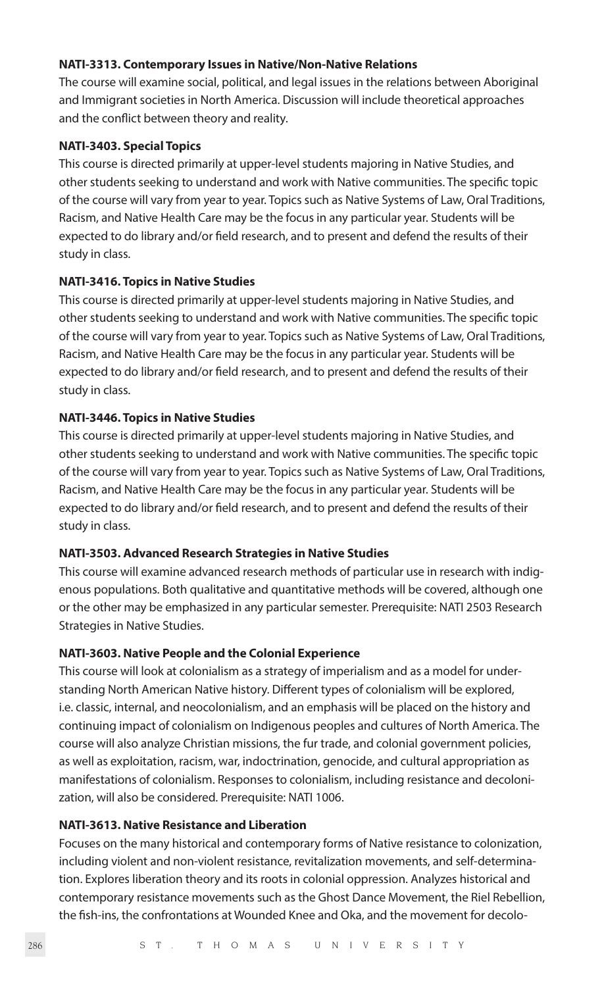#### **NATI-3313. Contemporary Issues in Native/Non-Native Relations**

The course will examine social, political, and legal issues in the relations between Aboriginal and Immigrant societies in North America. Discussion will include theoretical approaches and the conflict between theory and reality.

#### **NATI-3403. Special Topics**

This course is directed primarily at upper-level students majoring in Native Studies, and other students seeking to understand and work with Native communities. The specific topic of the course will vary from year to year. Topics such as Native Systems of Law, Oral Traditions, Racism, and Native Health Care may be the focus in any particular year. Students will be expected to do library and/or field research, and to present and defend the results of their study in class.

# **NATI-3416. Topics in Native Studies**

This course is directed primarily at upper-level students majoring in Native Studies, and other students seeking to understand and work with Native communities. The specific topic of the course will vary from year to year. Topics such as Native Systems of Law, Oral Traditions, Racism, and Native Health Care may be the focus in any particular year. Students will be expected to do library and/or field research, and to present and defend the results of their study in class.

# **NATI-3446. Topics in Native Studies**

This course is directed primarily at upper-level students majoring in Native Studies, and other students seeking to understand and work with Native communities. The specific topic of the course will vary from year to year. Topics such as Native Systems of Law, Oral Traditions, Racism, and Native Health Care may be the focus in any particular year. Students will be expected to do library and/or field research, and to present and defend the results of their study in class.

# **NATI-3503. Advanced Research Strategies in Native Studies**

This course will examine advanced research methods of particular use in research with indigenous populations. Both qualitative and quantitative methods will be covered, although one or the other may be emphasized in any particular semester. Prerequisite: NATI 2503 Research Strategies in Native Studies.

# **NATI-3603. Native People and the Colonial Experience**

This course will look at colonialism as a strategy of imperialism and as a model for understanding North American Native history. Different types of colonialism will be explored, i.e. classic, internal, and neocolonialism, and an emphasis will be placed on the history and continuing impact of colonialism on Indigenous peoples and cultures of North America. The course will also analyze Christian missions, the fur trade, and colonial government policies, as well as exploitation, racism, war, indoctrination, genocide, and cultural appropriation as manifestations of colonialism. Responses to colonialism, including resistance and decolonization, will also be considered. Prerequisite: NATI 1006.

# **NATI-3613. Native Resistance and Liberation**

Focuses on the many historical and contemporary forms of Native resistance to colonization, including violent and non-violent resistance, revitalization movements, and self-determination. Explores liberation theory and its roots in colonial oppression. Analyzes historical and contemporary resistance movements such as the Ghost Dance Movement, the Riel Rebellion, the fish-ins, the confrontations at Wounded Knee and Oka, and the movement for decolo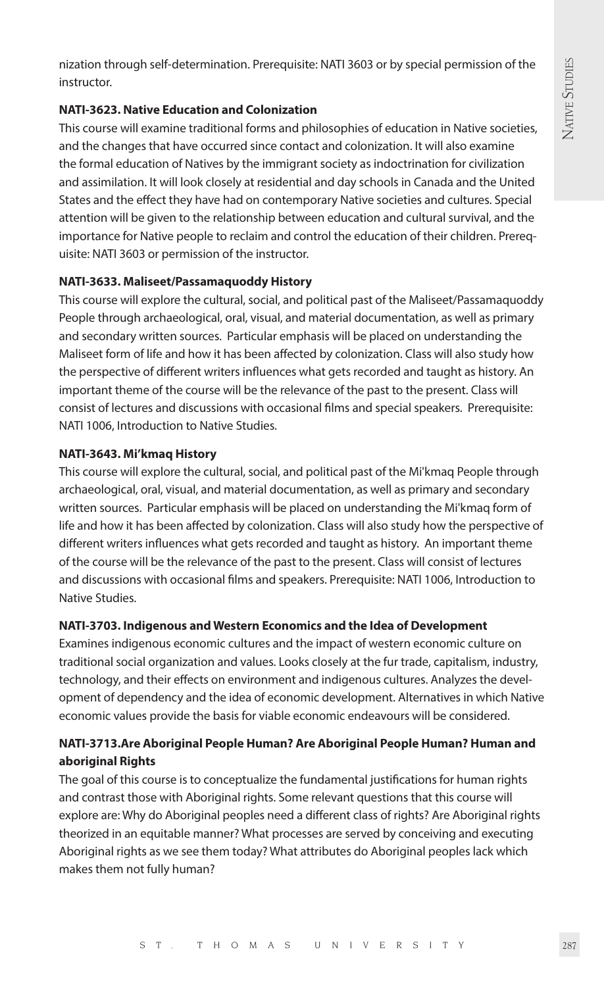nization through self-determination. Prerequisite: NATI 3603 or by special permission of the instructor.

# **NATI-3623. Native Education and Colonization**

This course will examine traditional forms and philosophies of education in Native societies, and the changes that have occurred since contact and colonization. It will also examine the formal education of Natives by the immigrant society as indoctrination for civilization and assimilation. It will look closely at residential and day schools in Canada and the United States and the effect they have had on contemporary Native societies and cultures. Special attention will be given to the relationship between education and cultural survival, and the importance for Native people to reclaim and control the education of their children. Prerequisite: NATI 3603 or permission of the instructor.

# **NATI-3633. Maliseet/Passamaquoddy History**

This course will explore the cultural, social, and political past of the Maliseet/Passamaquoddy People through archaeological, oral, visual, and material documentation, as well as primary and secondary written sources. Particular emphasis will be placed on understanding the Maliseet form of life and how it has been affected by colonization. Class will also study how the perspective of different writers influences what gets recorded and taught as history. An important theme of the course will be the relevance of the past to the present. Class will consist of lectures and discussions with occasional films and special speakers. Prerequisite: NATI 1006, Introduction to Native Studies.

# **NATI-3643. Mi'kmaq History**

This course will explore the cultural, social, and political past of the Mi'kmaq People through archaeological, oral, visual, and material documentation, as well as primary and secondary written sources. Particular emphasis will be placed on understanding the Mi'kmaq form of life and how it has been affected by colonization. Class will also study how the perspective of different writers influences what gets recorded and taught as history. An important theme of the course will be the relevance of the past to the present. Class will consist of lectures and discussions with occasional films and speakers. Prerequisite: NATI 1006, Introduction to Native Studies.

# **NATI-3703. Indigenous and Western Economics and the Idea of Development**

Examines indigenous economic cultures and the impact of western economic culture on traditional social organization and values. Looks closely at the fur trade, capitalism, industry, technology, and their effects on environment and indigenous cultures. Analyzes the development of dependency and the idea of economic development. Alternatives in which Native economic values provide the basis for viable economic endeavours will be considered.

# **NATI-3713.Are Aboriginal People Human? Are Aboriginal People Human? Human and aboriginal Rights**

The goal of this course is to conceptualize the fundamental justifications for human rights and contrast those with Aboriginal rights. Some relevant questions that this course will explore are: Why do Aboriginal peoples need a different class of rights? Are Aboriginal rights theorized in an equitable manner? What processes are served by conceiving and executing Aboriginal rights as we see them today? What attributes do Aboriginal peoples lack which makes them not fully human?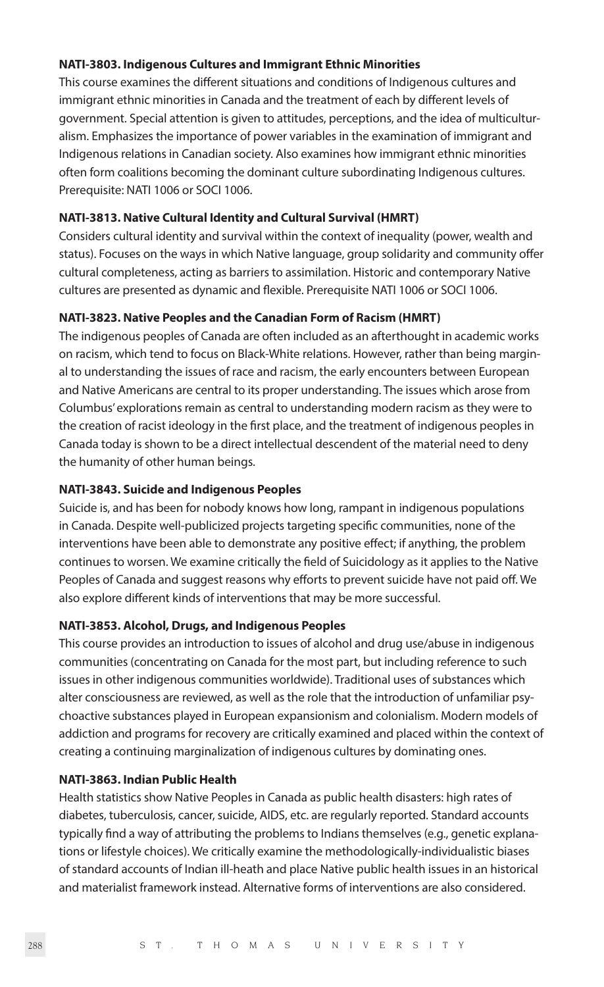#### **NATI-3803. Indigenous Cultures and Immigrant Ethnic Minorities**

This course examines the different situations and conditions of Indigenous cultures and immigrant ethnic minorities in Canada and the treatment of each by different levels of government. Special attention is given to attitudes, perceptions, and the idea of multiculturalism. Emphasizes the importance of power variables in the examination of immigrant and Indigenous relations in Canadian society. Also examines how immigrant ethnic minorities often form coalitions becoming the dominant culture subordinating Indigenous cultures. Prerequisite: NATI 1006 or SOCI 1006.

# **NATI-3813. Native Cultural Identity and Cultural Survival (HMRT)**

Considers cultural identity and survival within the context of inequality (power, wealth and status). Focuses on the ways in which Native language, group solidarity and community offer cultural completeness, acting as barriers to assimilation. Historic and contemporary Native cultures are presented as dynamic and flexible. Prerequisite NATI 1006 or SOCI 1006.

# **NATI-3823. Native Peoples and the Canadian Form of Racism (HMRT)**

The indigenous peoples of Canada are often included as an afterthought in academic works on racism, which tend to focus on Black-White relations. However, rather than being marginal to understanding the issues of race and racism, the early encounters between European and Native Americans are central to its proper understanding. The issues which arose from Columbus' explorations remain as central to understanding modern racism as they were to the creation of racist ideology in the first place, and the treatment of indigenous peoples in Canada today is shown to be a direct intellectual descendent of the material need to deny the humanity of other human beings.

#### **NATI-3843. Suicide and Indigenous Peoples**

Suicide is, and has been for nobody knows how long, rampant in indigenous populations in Canada. Despite well-publicized projects targeting specific communities, none of the interventions have been able to demonstrate any positive effect; if anything, the problem continues to worsen. We examine critically the field of Suicidology as it applies to the Native Peoples of Canada and suggest reasons why efforts to prevent suicide have not paid off. We also explore different kinds of interventions that may be more successful.

# **NATI-3853. Alcohol, Drugs, and Indigenous Peoples**

This course provides an introduction to issues of alcohol and drug use/abuse in indigenous communities (concentrating on Canada for the most part, but including reference to such issues in other indigenous communities worldwide). Traditional uses of substances which alter consciousness are reviewed, as well as the role that the introduction of unfamiliar psychoactive substances played in European expansionism and colonialism. Modern models of addiction and programs for recovery are critically examined and placed within the context of creating a continuing marginalization of indigenous cultures by dominating ones.

#### **NATI-3863. Indian Public Health**

Health statistics show Native Peoples in Canada as public health disasters: high rates of diabetes, tuberculosis, cancer, suicide, AIDS, etc. are regularly reported. Standard accounts typically find a way of attributing the problems to Indians themselves (e.g., genetic explanations or lifestyle choices). We critically examine the methodologically-individualistic biases of standard accounts of Indian ill-heath and place Native public health issues in an historical and materialist framework instead. Alternative forms of interventions are also considered.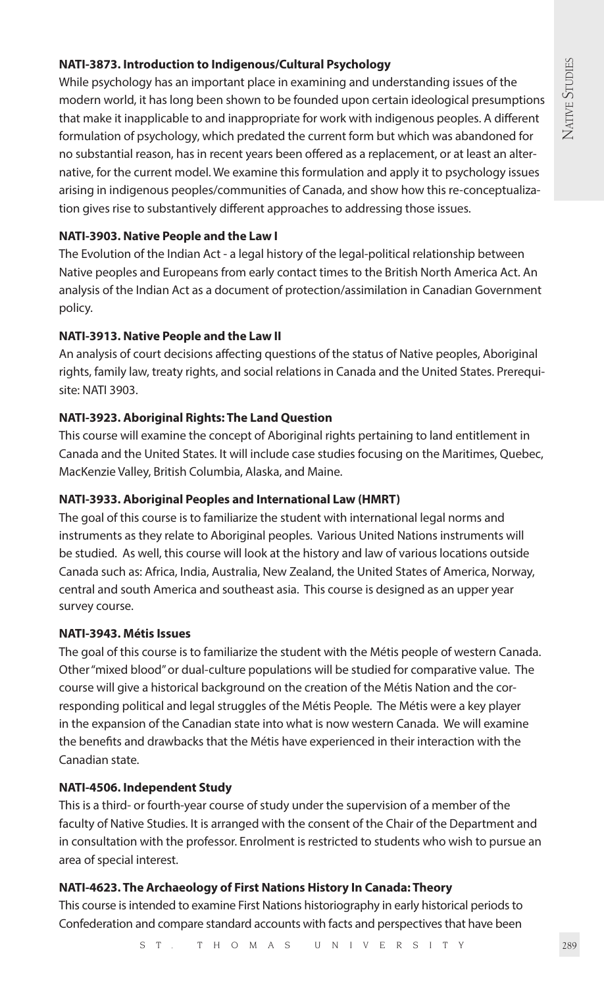# **NATI-3873. Introduction to Indigenous/Cultural Psychology**

While psychology has an important place in examining and understanding issues of the modern world, it has long been shown to be founded upon certain ideological presumptions that make it inapplicable to and inappropriate for work with indigenous peoples. A different formulation of psychology, which predated the current form but which was abandoned for no substantial reason, has in recent years been offered as a replacement, or at least an alternative, for the current model. We examine this formulation and apply it to psychology issues arising in indigenous peoples/communities of Canada, and show how this re-conceptualization gives rise to substantively different approaches to addressing those issues.

#### **NATI-3903. Native People and the Law I**

The Evolution of the Indian Act - a legal history of the legal-political relationship between Native peoples and Europeans from early contact times to the British North America Act. An analysis of the Indian Act as a document of protection/assimilation in Canadian Government policy.

# **NATI-3913. Native People and the Law II**

An analysis of court decisions affecting questions of the status of Native peoples, Aboriginal rights, family law, treaty rights, and social relations in Canada and the United States. Prerequisite: NATI 3903.

#### **NATI-3923. Aboriginal Rights: The Land Question**

This course will examine the concept of Aboriginal rights pertaining to land entitlement in Canada and the United States. It will include case studies focusing on the Maritimes, Quebec, MacKenzie Valley, British Columbia, Alaska, and Maine.

#### **NATI-3933. Aboriginal Peoples and International Law (HMRT)**

The goal of this course is to familiarize the student with international legal norms and instruments as they relate to Aboriginal peoples. Various United Nations instruments will be studied. As well, this course will look at the history and law of various locations outside Canada such as: Africa, India, Australia, New Zealand, the United States of America, Norway, central and south America and southeast asia. This course is designed as an upper year survey course.

# **NATI-3943. Métis Issues**

The goal of this course is to familiarize the student with the Métis people of western Canada. Other "mixed blood" or dual-culture populations will be studied for comparative value. The course will give a historical background on the creation of the Métis Nation and the corresponding political and legal struggles of the Métis People. The Métis were a key player in the expansion of the Canadian state into what is now western Canada. We will examine the benefits and drawbacks that the Métis have experienced in their interaction with the Canadian state.

#### **NATI-4506. Independent Study**

This is a third- or fourth-year course of study under the supervision of a member of the faculty of Native Studies. It is arranged with the consent of the Chair of the Department and in consultation with the professor. Enrolment is restricted to students who wish to pursue an area of special interest.

#### **NATI-4623. The Archaeology of First Nations History In Canada: Theory**

This course is intended to examine First Nations historiography in early historical periods to Confederation and compare standard accounts with facts and perspectives that have been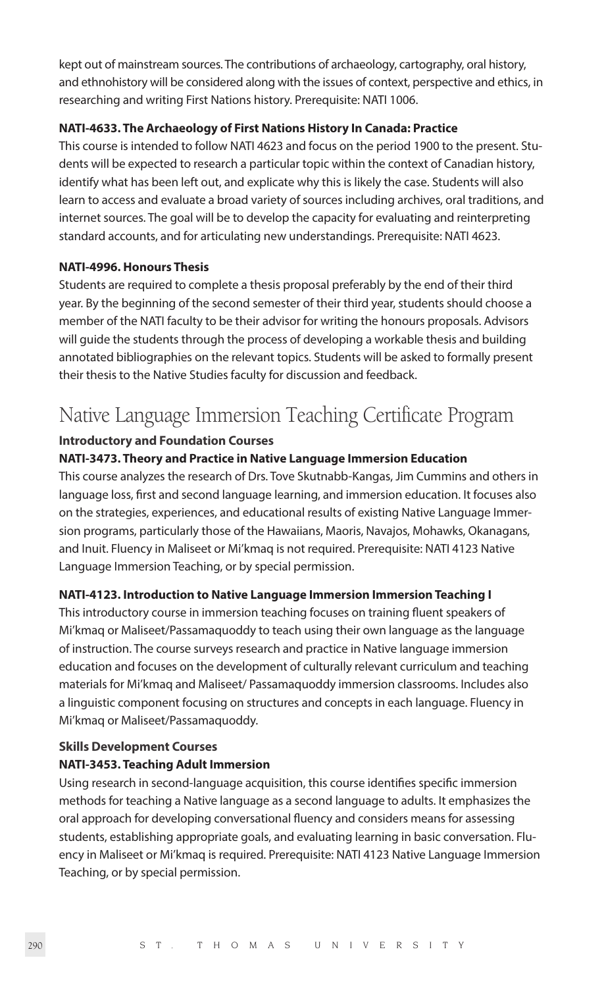kept out of mainstream sources. The contributions of archaeology, cartography, oral history, and ethnohistory will be considered along with the issues of context, perspective and ethics, in researching and writing First Nations history. Prerequisite: NATI 1006.

# **NATI-4633. The Archaeology of First Nations History In Canada: Practice**

This course is intended to follow NATI 4623 and focus on the period 1900 to the present. Students will be expected to research a particular topic within the context of Canadian history, identify what has been left out, and explicate why this is likely the case. Students will also learn to access and evaluate a broad variety of sources including archives, oral traditions, and internet sources. The goal will be to develop the capacity for evaluating and reinterpreting standard accounts, and for articulating new understandings. Prerequisite: NATI 4623.

# **NATI-4996. Honours Thesis**

Students are required to complete a thesis proposal preferably by the end of their third year. By the beginning of the second semester of their third year, students should choose a member of the NATI faculty to be their advisor for writing the honours proposals. Advisors will guide the students through the process of developing a workable thesis and building annotated bibliographies on the relevant topics. Students will be asked to formally present their thesis to the Native Studies faculty for discussion and feedback.

# Native Language Immersion Teaching Certificate Program

# **Introductory and Foundation Courses**

# **NATI-3473. Theory and Practice in Native Language Immersion Education**

This course analyzes the research of Drs. Tove Skutnabb-Kangas, Jim Cummins and others in language loss, first and second language learning, and immersion education. It focuses also on the strategies, experiences, and educational results of existing Native Language Immersion programs, particularly those of the Hawaiians, Maoris, Navajos, Mohawks, Okanagans, and Inuit. Fluency in Maliseet or Mi'kmaq is not required. Prerequisite: NATI 4123 Native Language Immersion Teaching, or by special permission.

# **NATI-4123. Introduction to Native Language Immersion Immersion Teaching I**

This introductory course in immersion teaching focuses on training fluent speakers of Mi'kmaq or Maliseet/Passamaquoddy to teach using their own language as the language of instruction. The course surveys research and practice in Native language immersion education and focuses on the development of culturally relevant curriculum and teaching materials for Mi'kmaq and Maliseet/ Passamaquoddy immersion classrooms. Includes also a linguistic component focusing on structures and concepts in each language. Fluency in Mi'kmaq or Maliseet/Passamaquoddy.

# **Skills Development Courses NATI-3453. Teaching Adult Immersion**

Using research in second-language acquisition, this course identifies specific immersion methods for teaching a Native language as a second language to adults. It emphasizes the oral approach for developing conversational fluency and considers means for assessing students, establishing appropriate goals, and evaluating learning in basic conversation. Fluency in Maliseet or Mi'kmaq is required. Prerequisite: NATI 4123 Native Language Immersion Teaching, or by special permission.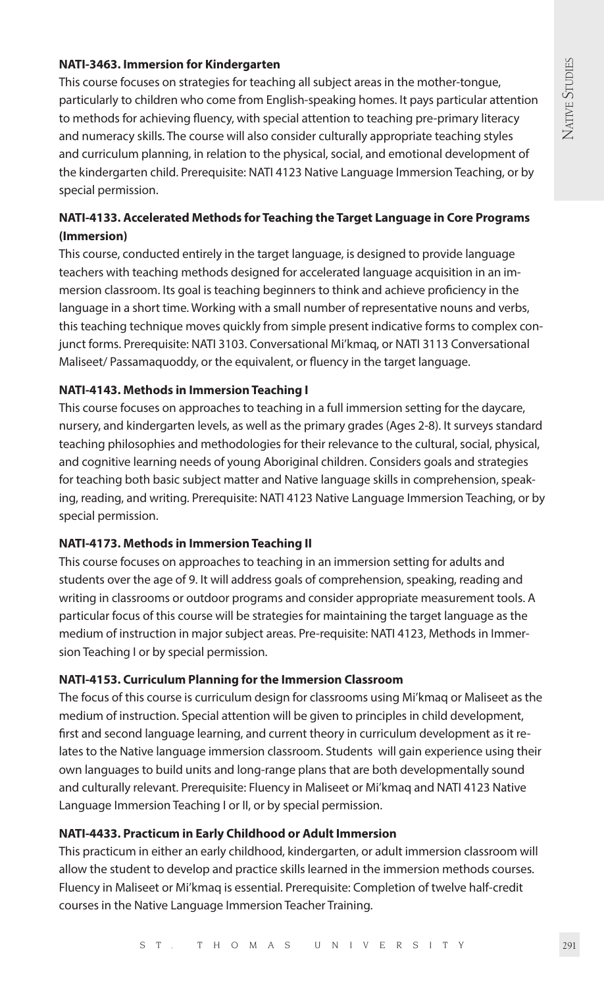# **NATI-3463. Immersion for Kindergarten**

This course focuses on strategies for teaching all subject areas in the mother-tongue, particularly to children who come from English-speaking homes. It pays particular attention to methods for achieving fluency, with special attention to teaching pre-primary literacy and numeracy skills. The course will also consider culturally appropriate teaching styles and curriculum planning, in relation to the physical, social, and emotional development of the kindergarten child. Prerequisite: NATI 4123 Native Language Immersion Teaching, or by special permission.

# **NATI-4133. Accelerated Methods for Teaching the Target Language in Core Programs (Immersion)**

This course, conducted entirely in the target language, is designed to provide language teachers with teaching methods designed for accelerated language acquisition in an immersion classroom. Its goal is teaching beginners to think and achieve proficiency in the language in a short time. Working with a small number of representative nouns and verbs, this teaching technique moves quickly from simple present indicative forms to complex conjunct forms. Prerequisite: NATI 3103. Conversational Mi'kmaq, or NATI 3113 Conversational Maliseet/ Passamaquoddy, or the equivalent, or fluency in the target language.

# **NATI-4143. Methods in Immersion Teaching I**

This course focuses on approaches to teaching in a full immersion setting for the daycare, nursery, and kindergarten levels, as well as the primary grades (Ages 2-8). It surveys standard teaching philosophies and methodologies for their relevance to the cultural, social, physical, and cognitive learning needs of young Aboriginal children. Considers goals and strategies for teaching both basic subject matter and Native language skills in comprehension, speaking, reading, and writing. Prerequisite: NATI 4123 Native Language Immersion Teaching, or by special permission.

# **NATI-4173. Methods in Immersion Teaching II**

This course focuses on approaches to teaching in an immersion setting for adults and students over the age of 9. It will address goals of comprehension, speaking, reading and writing in classrooms or outdoor programs and consider appropriate measurement tools. A particular focus of this course will be strategies for maintaining the target language as the medium of instruction in major subject areas. Pre-requisite: NATI 4123, Methods in Immersion Teaching I or by special permission.

# **NATI-4153. Curriculum Planning for the Immersion Classroom**

The focus of this course is curriculum design for classrooms using Mi'kmaq or Maliseet as the medium of instruction. Special attention will be given to principles in child development, first and second language learning, and current theory in curriculum development as it relates to the Native language immersion classroom. Students will gain experience using their own languages to build units and long-range plans that are both developmentally sound and culturally relevant. Prerequisite: Fluency in Maliseet or Mi'kmaq and NATI 4123 Native Language Immersion Teaching I or II, or by special permission.

# **NATI-4433. Practicum in Early Childhood or Adult Immersion**

This practicum in either an early childhood, kindergarten, or adult immersion classroom will allow the student to develop and practice skills learned in the immersion methods courses. Fluency in Maliseet or Mi'kmaq is essential. Prerequisite: Completion of twelve half-credit courses in the Native Language Immersion Teacher Training.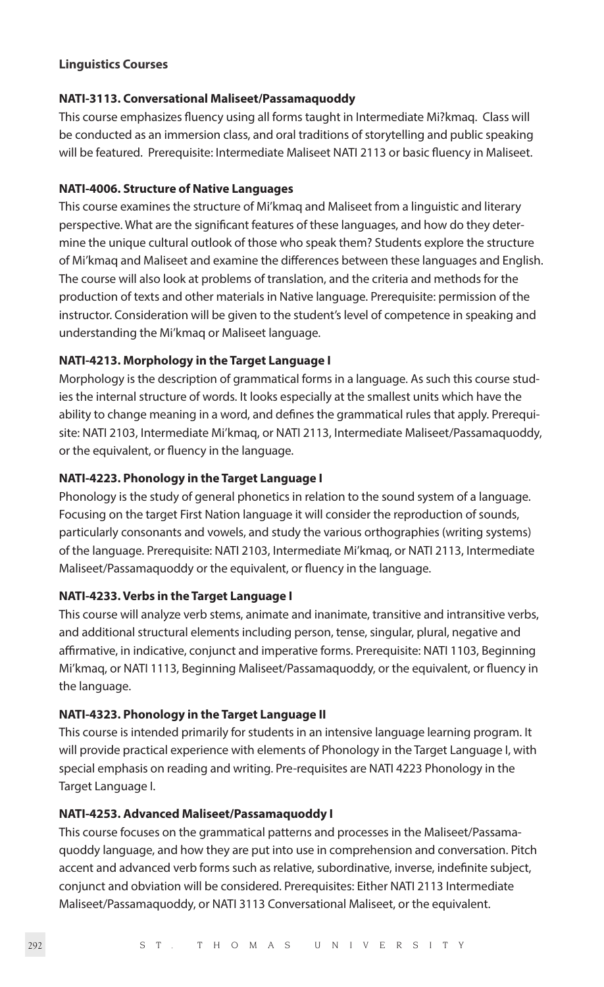#### **Linguistics Courses**

#### **NATI-3113. Conversational Maliseet/Passamaquoddy**

This course emphasizes fluency using all forms taught in Intermediate Mi?kmaq. Class will be conducted as an immersion class, and oral traditions of storytelling and public speaking will be featured. Prerequisite: Intermediate Maliseet NATI 2113 or basic fluency in Maliseet.

#### **NATI-4006. Structure of Native Languages**

This course examines the structure of Mi'kmaq and Maliseet from a linguistic and literary perspective. What are the significant features of these languages, and how do they determine the unique cultural outlook of those who speak them? Students explore the structure of Mi'kmaq and Maliseet and examine the differences between these languages and English. The course will also look at problems of translation, and the criteria and methods for the production of texts and other materials in Native language. Prerequisite: permission of the instructor. Consideration will be given to the student's level of competence in speaking and understanding the Mi'kmaq or Maliseet language.

# **NATI-4213. Morphology in the Target Language I**

Morphology is the description of grammatical forms in a language. As such this course studies the internal structure of words. It looks especially at the smallest units which have the ability to change meaning in a word, and defines the grammatical rules that apply. Prerequisite: NATI 2103, Intermediate Mi'kmaq, or NATI 2113, Intermediate Maliseet/Passamaquoddy, or the equivalent, or fluency in the language.

#### **NATI-4223. Phonology in the Target Language I**

Phonology is the study of general phonetics in relation to the sound system of a language. Focusing on the target First Nation language it will consider the reproduction of sounds, particularly consonants and vowels, and study the various orthographies (writing systems) of the language. Prerequisite: NATI 2103, Intermediate Mi'kmaq, or NATI 2113, Intermediate Maliseet/Passamaquoddy or the equivalent, or fluency in the language.

# **NATI-4233. Verbs in the Target Language I**

This course will analyze verb stems, animate and inanimate, transitive and intransitive verbs, and additional structural elements including person, tense, singular, plural, negative and affirmative, in indicative, conjunct and imperative forms. Prerequisite: NATI 1103, Beginning Mi'kmaq, or NATI 1113, Beginning Maliseet/Passamaquoddy, or the equivalent, or fluency in the language.

#### **NATI-4323. Phonology in the Target Language II**

This course is intended primarily for students in an intensive language learning program. It will provide practical experience with elements of Phonology in the Target Language I, with special emphasis on reading and writing. Pre-requisites are NATI 4223 Phonology in the Target Language I.

# **NATI-4253. Advanced Maliseet/Passamaquoddy I**

This course focuses on the grammatical patterns and processes in the Maliseet/Passamaquoddy language, and how they are put into use in comprehension and conversation. Pitch accent and advanced verb forms such as relative, subordinative, inverse, indefinite subject, conjunct and obviation will be considered. Prerequisites: Either NATI 2113 Intermediate Maliseet/Passamaquoddy, or NATI 3113 Conversational Maliseet, or the equivalent.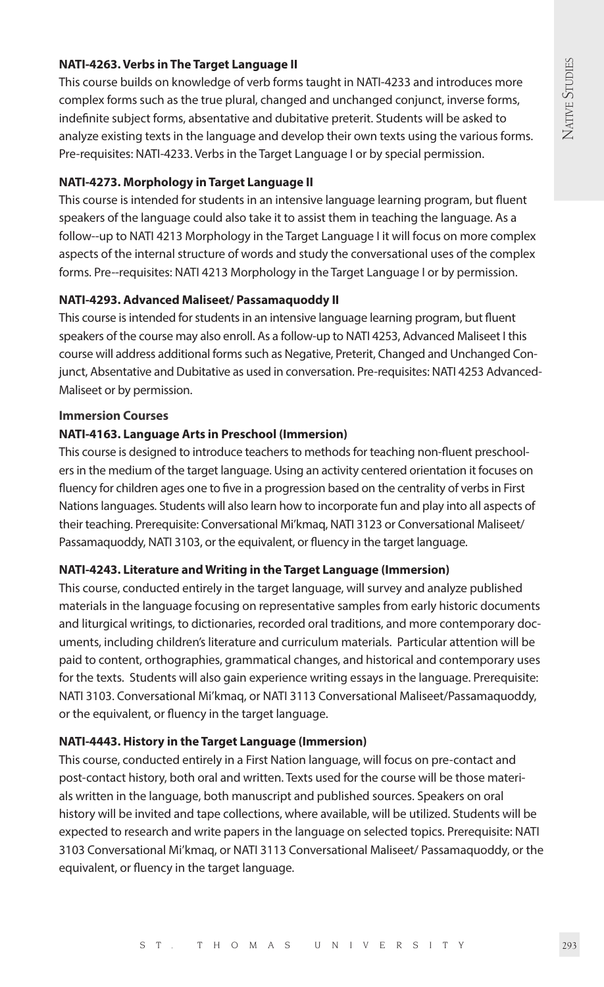# **NATI-4263. Verbs in The Target Language II**

This course builds on knowledge of verb forms taught in NATI-4233 and introduces more complex forms such as the true plural, changed and unchanged conjunct, inverse forms, indefinite subject forms, absentative and dubitative preterit. Students will be asked to analyze existing texts in the language and develop their own texts using the various forms. Pre-requisites: NATI-4233. Verbs in the Target Language I or by special permission.

# **NATI-4273. Morphology in Target Language II**

This course is intended for students in an intensive language learning program, but fluent speakers of the language could also take it to assist them in teaching the language. As a follow--up to NATI 4213 Morphology in the Target Language I it will focus on more complex aspects of the internal structure of words and study the conversational uses of the complex forms. Pre--requisites: NATI 4213 Morphology in the Target Language I or by permission.

# **NATI-4293. Advanced Maliseet/ Passamaquoddy II**

This course is intended for students in an intensive language learning program, but fluent speakers of the course may also enroll. As a follow-up to NATI 4253, Advanced Maliseet I this course will address additional forms such as Negative, Preterit, Changed and Unchanged Conjunct, Absentative and Dubitative as used in conversation. Pre-requisites: NATI 4253 Advanced-Maliseet or by permission.

#### **Immersion Courses**

# **NATI-4163. Language Arts in Preschool (Immersion)**

This course is designed to introduce teachers to methods for teaching non-fluent preschoolers in the medium of the target language. Using an activity centered orientation it focuses on fluency for children ages one to five in a progression based on the centrality of verbs in First Nations languages. Students will also learn how to incorporate fun and play into all aspects of their teaching. Prerequisite: Conversational Mi'kmaq, NATI 3123 or Conversational Maliseet/ Passamaquoddy, NATI 3103, or the equivalent, or fluency in the target language.

# **NATI-4243. Literature and Writing in the Target Language (Immersion)**

This course, conducted entirely in the target language, will survey and analyze published materials in the language focusing on representative samples from early historic documents and liturgical writings, to dictionaries, recorded oral traditions, and more contemporary documents, including children's literature and curriculum materials. Particular attention will be paid to content, orthographies, grammatical changes, and historical and contemporary uses for the texts. Students will also gain experience writing essays in the language. Prerequisite: NATI 3103. Conversational Mi'kmaq, or NATI 3113 Conversational Maliseet/Passamaquoddy, or the equivalent, or fluency in the target language.

# **NATI-4443. History in the Target Language (Immersion)**

This course, conducted entirely in a First Nation language, will focus on pre-contact and post-contact history, both oral and written. Texts used for the course will be those materials written in the language, both manuscript and published sources. Speakers on oral history will be invited and tape collections, where available, will be utilized. Students will be expected to research and write papers in the language on selected topics. Prerequisite: NATI 3103 Conversational Mi'kmaq, or NATI 3113 Conversational Maliseet/ Passamaquoddy, or the equivalent, or fluency in the target language.